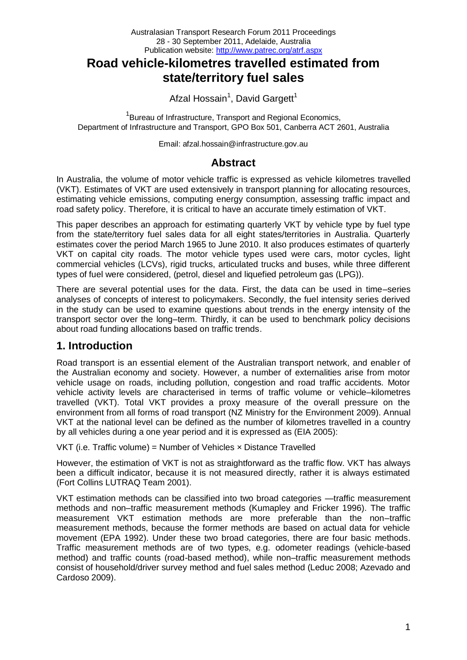# **Road vehicle-kilometres travelled estimated from state/territory fuel sales**

Afzal Hossain<sup>1</sup>, David Gargett<sup>1</sup>

<sup>1</sup> Bureau of Infrastructure, Transport and Regional Economics, Department of Infrastructure and Transport, GPO Box 501, Canberra ACT 2601, Australia

Email: afzal.hossain@infrastructure.gov.au

# **Abstract**

In Australia, the volume of motor vehicle traffic is expressed as vehicle kilometres travelled (VKT). Estimates of VKT are used extensively in transport planning for allocating resources, estimating vehicle emissions, computing energy consumption, assessing traffic impact and road safety policy. Therefore, it is critical to have an accurate timely estimation of VKT.

This paper describes an approach for estimating quarterly VKT by vehicle type by fuel type from the state/territory fuel sales data for all eight states/territories in Australia. Quarterly estimates cover the period March 1965 to June 2010. It also produces estimates of quarterly VKT on capital city roads. The motor vehicle types used were cars, motor cycles, light commercial vehicles (LCVs), rigid trucks, articulated trucks and buses, while three different types of fuel were considered, (petrol, diesel and liquefied petroleum gas (LPG)).

There are several potential uses for the data. First, the data can be used in time–series analyses of concepts of interest to policymakers. Secondly, the fuel intensity series derived in the study can be used to examine questions about trends in the energy intensity of the transport sector over the long–term. Thirdly, it can be used to benchmark policy decisions about road funding allocations based on traffic trends.

# **1. Introduction**

Road transport is an essential element of the Australian transport network, and enabler of the Australian economy and society. However, a number of externalities arise from motor vehicle usage on roads, including pollution, congestion and road traffic accidents. Motor vehicle activity levels are characterised in terms of traffic volume or vehicle–kilometres travelled (VKT). Total VKT provides a proxy measure of the overall pressure on the environment from all forms of road transport (NZ Ministry for the Environment 2009). Annual VKT at the national level can be defined as the number of kilometres travelled in a country by all vehicles during a one year period and it is expressed as (EIA 2005):

VKT (i.e. Traffic volume) = Number of Vehicles × Distance Travelled

However, the estimation of VKT is not as straightforward as the traffic flow. VKT has always been a difficult indicator, because it is not measured directly, rather it is always estimated (Fort Collins LUTRAQ Team 2001).

VKT estimation methods can be classified into two broad categories —traffic measurement methods and non–traffic measurement methods (Kumapley and Fricker 1996). The traffic measurement VKT estimation methods are more preferable than the non–traffic measurement methods, because the former methods are based on actual data for vehicle movement (EPA 1992). Under these two broad categories, there are four basic methods. Traffic measurement methods are of two types, e.g. odometer readings (vehicle-based method) and traffic counts (road-based method), while non–traffic measurement methods consist of household/driver survey method and fuel sales method (Leduc 2008; Azevado and Cardoso 2009).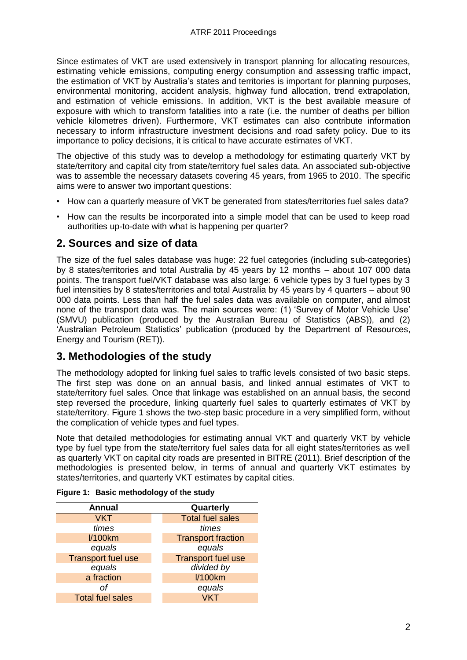Since estimates of VKT are used extensively in transport planning for allocating resources, estimating vehicle emissions, computing energy consumption and assessing traffic impact, the estimation of VKT by Australia's states and territories is important for planning purposes, environmental monitoring, accident analysis, highway fund allocation, trend extrapolation, and estimation of vehicle emissions. In addition, VKT is the best available measure of exposure with which to transform fatalities into a rate (i.e. the number of deaths per billion vehicle kilometres driven). Furthermore, VKT estimates can also contribute information necessary to inform infrastructure investment decisions and road safety policy. Due to its importance to policy decisions, it is critical to have accurate estimates of VKT.

The objective of this study was to develop a methodology for estimating quarterly VKT by state/territory and capital city from state/territory fuel sales data. An associated sub-objective was to assemble the necessary datasets covering 45 years, from 1965 to 2010. The specific aims were to answer two important questions:

- How can a quarterly measure of VKT be generated from states/territories fuel sales data?
- How can the results be incorporated into a simple model that can be used to keep road authorities up-to-date with what is happening per quarter?

# **2. Sources and size of data**

The size of the fuel sales database was huge: 22 fuel categories (including sub-categories) by 8 states/territories and total Australia by 45 years by 12 months – about 107 000 data points. The transport fuel/VKT database was also large: 6 vehicle types by 3 fuel types by 3 fuel intensities by 8 states/territories and total Australia by 45 years by 4 quarters – about 90 000 data points. Less than half the fuel sales data was available on computer, and almost none of the transport data was. The main sources were: (1) 'Survey of Motor Vehicle Use' (SMVU) publication (produced by the Australian Bureau of Statistics (ABS)), and (2) 'Australian Petroleum Statistics' publication (produced by the Department of Resources, Energy and Tourism (RET)).

# **3. Methodologies of the study**

The methodology adopted for linking fuel sales to traffic levels consisted of two basic steps. The first step was done on an annual basis, and linked annual estimates of VKT to state/territory fuel sales. Once that linkage was established on an annual basis, the second step reversed the procedure, linking quarterly fuel sales to quarterly estimates of VKT by state/territory. Figure 1 shows the two-step basic procedure in a very simplified form, without the complication of vehicle types and fuel types.

Note that detailed methodologies for estimating annual VKT and quarterly VKT by vehicle type by fuel type from the state/territory fuel sales data for all eight states/territories as well as quarterly VKT on capital city roads are presented in BITRE (2011). Brief description of the methodologies is presented below, in terms of annual and quarterly VKT estimates by states/territories, and quarterly VKT estimates by capital cities.

| <b>Annual</b>             | Quarterly                 |  |  |  |
|---------------------------|---------------------------|--|--|--|
| <b>VKT</b>                | <b>Total fuel sales</b>   |  |  |  |
| times                     | times                     |  |  |  |
| <b>I/100km</b>            | <b>Transport fraction</b> |  |  |  |
| equals                    | equals                    |  |  |  |
| <b>Transport fuel use</b> | <b>Transport fuel use</b> |  |  |  |
| equals                    | divided by                |  |  |  |
| a fraction                | <b>I/100km</b>            |  |  |  |
| Ωf                        | equals                    |  |  |  |
| <b>Total fuel sales</b>   |                           |  |  |  |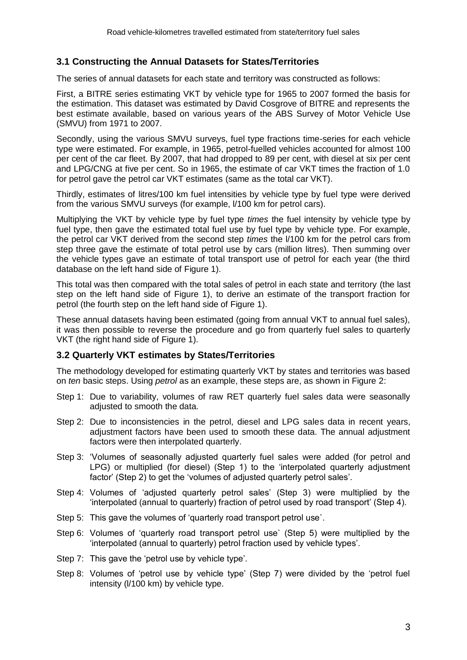### **3.1 Constructing the Annual Datasets for States/Territories**

The series of annual datasets for each state and territory was constructed as follows:

First, a BITRE series estimating VKT by vehicle type for 1965 to 2007 formed the basis for the estimation. This dataset was estimated by David Cosgrove of BITRE and represents the best estimate available, based on various years of the ABS Survey of Motor Vehicle Use (SMVU) from 1971 to 2007.

Secondly, using the various SMVU surveys, fuel type fractions time-series for each vehicle type were estimated. For example, in 1965, petrol-fuelled vehicles accounted for almost 100 per cent of the car fleet. By 2007, that had dropped to 89 per cent, with diesel at six per cent and LPG/CNG at five per cent. So in 1965, the estimate of car VKT times the fraction of 1.0 for petrol gave the petrol car VKT estimates (same as the total car VKT).

Thirdly, estimates of litres/100 km fuel intensities by vehicle type by fuel type were derived from the various SMVU surveys (for example, l/100 km for petrol cars).

Multiplying the VKT by vehicle type by fuel type *times* the fuel intensity by vehicle type by fuel type, then gave the estimated total fuel use by fuel type by vehicle type. For example, the petrol car VKT derived from the second step *times* the l/100 km for the petrol cars from step three gave the estimate of total petrol use by cars (million litres). Then summing over the vehicle types gave an estimate of total transport use of petrol for each year (the third database on the left hand side of Figure 1).

This total was then compared with the total sales of petrol in each state and territory (the last step on the left hand side of Figure 1), to derive an estimate of the transport fraction for petrol (the fourth step on the left hand side of Figure 1).

These annual datasets having been estimated (going from annual VKT to annual fuel sales), it was then possible to reverse the procedure and go from quarterly fuel sales to quarterly VKT (the right hand side of Figure 1).

#### **3.2 Quarterly VKT estimates by States/Territories**

The methodology developed for estimating quarterly VKT by states and territories was based on *ten* basic steps. Using *petrol* as an example, these steps are, as shown in Figure 2:

- Step 1: Due to variability, volumes of raw RET quarterly fuel sales data were seasonally adjusted to smooth the data.
- Step 2: Due to inconsistencies in the petrol, diesel and LPG sales data in recent years, adjustment factors have been used to smooth these data. The annual adjustment factors were then interpolated quarterly.
- Step 3: 'Volumes of seasonally adjusted quarterly fuel sales were added (for petrol and LPG) or multiplied (for diesel) (Step 1) to the 'interpolated quarterly adjustment factor' (Step 2) to get the 'volumes of adjusted quarterly petrol sales'.
- Step 4: Volumes of 'adjusted quarterly petrol sales' (Step 3) were multiplied by the 'interpolated (annual to quarterly) fraction of petrol used by road transport' (Step 4).
- Step 5: This gave the volumes of 'quarterly road transport petrol use`.
- Step 6: Volumes of 'quarterly road transport petrol use` (Step 5) were multiplied by the 'interpolated (annual to quarterly) petrol fraction used by vehicle types'.
- Step 7: This gave the 'petrol use by vehicle type'.
- Step 8: Volumes of 'petrol use by vehicle type' (Step 7) were divided by the 'petrol fuel intensity (l/100 km) by vehicle type.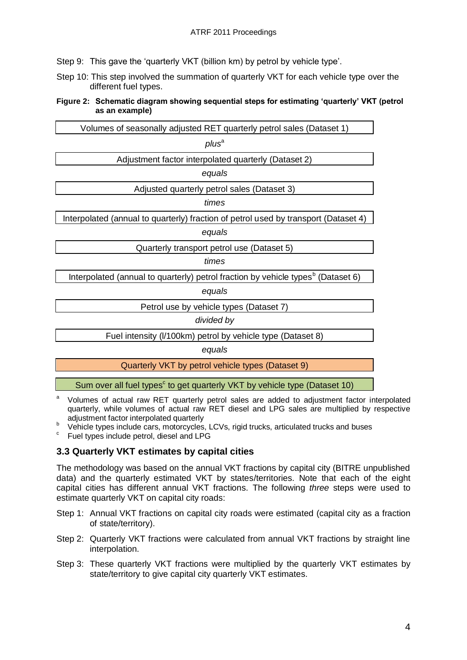Step 9: This gave the 'quarterly VKT (billion km) by petrol by vehicle type'.

Step 10: This step involved the summation of quarterly VKT for each vehicle type over the different fuel types.

**Figure 2: Schematic diagram showing sequential steps for estimating 'quarterly' VKT (petrol as an example)**

| Volumes of seasonally adjusted RET quarterly petrol sales (Dataset 1)                        |  |  |  |  |  |  |
|----------------------------------------------------------------------------------------------|--|--|--|--|--|--|
| plus <sup>a</sup>                                                                            |  |  |  |  |  |  |
| Adjustment factor interpolated quarterly (Dataset 2)                                         |  |  |  |  |  |  |
| equals                                                                                       |  |  |  |  |  |  |
| Adjusted quarterly petrol sales (Dataset 3)                                                  |  |  |  |  |  |  |
| times                                                                                        |  |  |  |  |  |  |
| Interpolated (annual to quarterly) fraction of petrol used by transport (Dataset 4)          |  |  |  |  |  |  |
| equals                                                                                       |  |  |  |  |  |  |
| Quarterly transport petrol use (Dataset 5)                                                   |  |  |  |  |  |  |
| times                                                                                        |  |  |  |  |  |  |
| Interpolated (annual to quarterly) petrol fraction by vehicle types <sup>b</sup> (Dataset 6) |  |  |  |  |  |  |
| equals                                                                                       |  |  |  |  |  |  |
| Petrol use by vehicle types (Dataset 7)                                                      |  |  |  |  |  |  |
| divided by                                                                                   |  |  |  |  |  |  |
| Fuel intensity (I/100km) petrol by vehicle type (Dataset 8)                                  |  |  |  |  |  |  |
| equals                                                                                       |  |  |  |  |  |  |

Quarterly VKT by petrol vehicle types (Dataset 9)

Sum over all fuel types<sup>c</sup> to get quarterly VKT by vehicle type (Dataset 10)

- <sup>a</sup>Volumes of actual raw RET quarterly petrol sales are added to adjustment factor interpolated quarterly, while volumes of actual raw RET diesel and LPG sales are multiplied by respective adjustment factor interpolated quarterly
- **b** Vehicle types include cars, motorcycles, LCVs, rigid trucks, articulated trucks and buses
- c Fuel types include petrol, diesel and LPG

# **3.3 Quarterly VKT estimates by capital cities**

The methodology was based on the annual VKT fractions by capital city (BITRE unpublished data) and the quarterly estimated VKT by states/territories. Note that each of the eight capital cities has different annual VKT fractions. The following *three* steps were used to estimate quarterly VKT on capital city roads:

- Step 1: Annual VKT fractions on capital city roads were estimated (capital city as a fraction of state/territory).
- Step 2: Quarterly VKT fractions were calculated from annual VKT fractions by straight line interpolation.
- Step 3: These quarterly VKT fractions were multiplied by the quarterly VKT estimates by state/territory to give capital city quarterly VKT estimates.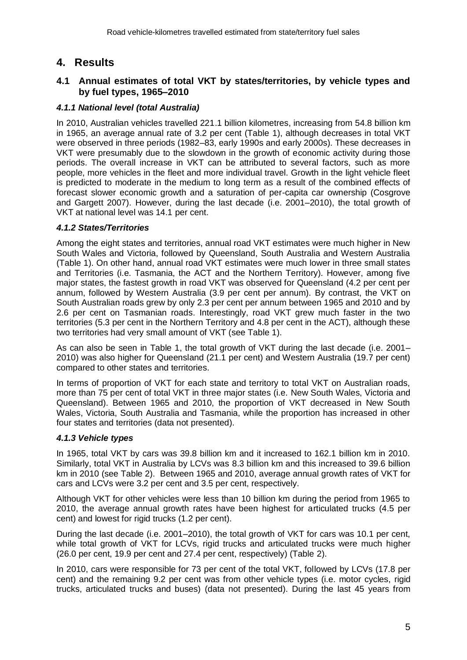# **4. Results**

# **4.1 Annual estimates of total VKT by states/territories, by vehicle types and by fuel types, 1965–2010**

# *4.1.1 National level (total Australia)*

In 2010, Australian vehicles travelled 221.1 billion kilometres, increasing from 54.8 billion km in 1965, an average annual rate of 3.2 per cent (Table 1), although decreases in total VKT were observed in three periods (1982–83, early 1990s and early 2000s). These decreases in VKT were presumably due to the slowdown in the growth of economic activity during those periods. The overall increase in VKT can be attributed to several factors, such as more people, more vehicles in the fleet and more individual travel. Growth in the light vehicle fleet is predicted to moderate in the medium to long term as a result of the combined effects of forecast slower economic growth and a saturation of per-capita car ownership (Cosgrove and Gargett 2007). However, during the last decade (i.e. 2001–2010), the total growth of VKT at national level was 14.1 per cent.

#### *4.1.2 States/Territories*

Among the eight states and territories, annual road VKT estimates were much higher in New South Wales and Victoria, followed by Queensland, South Australia and Western Australia (Table 1). On other hand, annual road VKT estimates were much lower in three small states and Territories (i.e. Tasmania, the ACT and the Northern Territory). However, among five major states, the fastest growth in road VKT was observed for Queensland (4.2 per cent per annum, followed by Western Australia (3.9 per cent per annum). By contrast, the VKT on South Australian roads grew by only 2.3 per cent per annum between 1965 and 2010 and by 2.6 per cent on Tasmanian roads. Interestingly, road VKT grew much faster in the two territories (5.3 per cent in the Northern Territory and 4.8 per cent in the ACT), although these two territories had very small amount of VKT (see Table 1).

As can also be seen in Table 1, the total growth of VKT during the last decade (i.e. 2001– 2010) was also higher for Queensland (21.1 per cent) and Western Australia (19.7 per cent) compared to other states and territories.

In terms of proportion of VKT for each state and territory to total VKT on Australian roads, more than 75 per cent of total VKT in three major states (i.e. New South Wales, Victoria and Queensland). Between 1965 and 2010, the proportion of VKT decreased in New South Wales, Victoria, South Australia and Tasmania, while the proportion has increased in other four states and territories (data not presented).

#### *4.1.3 Vehicle types*

In 1965, total VKT by cars was 39.8 billion km and it increased to 162.1 billion km in 2010. Similarly, total VKT in Australia by LCVs was 8.3 billion km and this increased to 39.6 billion km in 2010 (see Table 2). Between 1965 and 2010, average annual growth rates of VKT for cars and LCVs were 3.2 per cent and 3.5 per cent, respectively.

Although VKT for other vehicles were less than 10 billion km during the period from 1965 to 2010, the average annual growth rates have been highest for articulated trucks (4.5 per cent) and lowest for rigid trucks (1.2 per cent).

During the last decade (i.e. 2001–2010), the total growth of VKT for cars was 10.1 per cent, while total growth of VKT for LCVs, rigid trucks and articulated trucks were much higher (26.0 per cent, 19.9 per cent and 27.4 per cent, respectively) (Table 2).

In 2010, cars were responsible for 73 per cent of the total VKT, followed by LCVs (17.8 per cent) and the remaining 9.2 per cent was from other vehicle types (i.e. motor cycles, rigid trucks, articulated trucks and buses) (data not presented). During the last 45 years from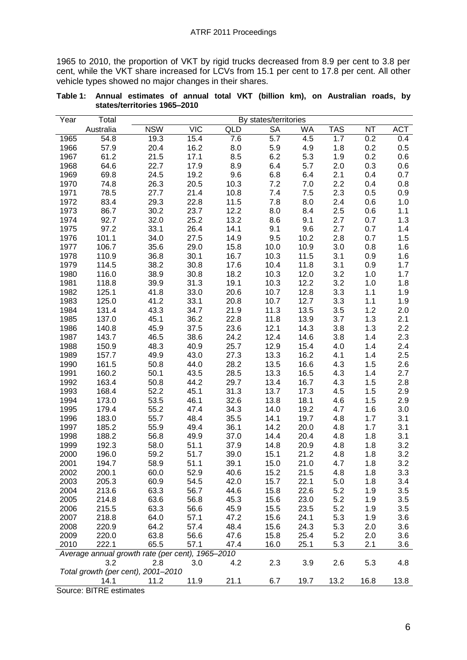1965 to 2010, the proportion of VKT by rigid trucks decreased from 8.9 per cent to 3.8 per cent, while the VKT share increased for LCVs from 15.1 per cent to 17.8 per cent. All other vehicle types showed no major changes in their shares.

| Year                                             | Total     | By states/territories              |            |            |           |      |            |           |            |
|--------------------------------------------------|-----------|------------------------------------|------------|------------|-----------|------|------------|-----------|------------|
|                                                  | Australia | <b>NSW</b>                         | <b>VIC</b> | <b>QLD</b> | <b>SA</b> | WA   | <b>TAS</b> | <b>NT</b> | <b>ACT</b> |
| 1965                                             | 54.8      | 19.3                               | 15.4       | 7.6        | 5.7       | 4.5  | 1.7        | 0.2       | 0.4        |
| 1966                                             | 57.9      | 20.4                               | 16.2       | 8.0        | 5.9       | 4.9  | 1.8        | 0.2       | 0.5        |
| 1967                                             | 61.2      | 21.5                               | 17.1       | 8.5        | 6.2       | 5.3  | 1.9        | 0.2       | 0.6        |
| 1968                                             | 64.6      | 22.7                               | 17.9       | 8.9        | 6.4       | 5.7  | 2.0        | 0.3       | 0.6        |
| 1969                                             | 69.8      | 24.5                               | 19.2       | 9.6        | 6.8       | 6.4  | 2.1        | 0.4       | 0.7        |
| 1970                                             | 74.8      | 26.3                               | 20.5       | 10.3       | 7.2       | 7.0  | 2.2        | 0.4       | 0.8        |
| 1971                                             | 78.5      | 27.7                               | 21.4       | 10.8       | 7.4       | 7.5  | 2.3        | 0.5       | 0.9        |
| 1972                                             | 83.4      | 29.3                               | 22.8       | 11.5       | 7.8       | 8.0  | 2.4        | 0.6       | 1.0        |
| 1973                                             | 86.7      | 30.2                               | 23.7       | 12.2       | 8.0       | 8.4  | 2.5        | 0.6       | 1.1        |
| 1974                                             | 92.7      | 32.0                               | 25.2       | 13.2       | 8.6       | 9.1  | 2.7        | 0.7       | 1.3        |
| 1975                                             | 97.2      | 33.1                               | 26.4       | 14.1       | 9.1       | 9.6  | 2.7        | 0.7       | 1.4        |
| 1976                                             | 101.1     | 34.0                               | 27.5       | 14.9       | 9.5       | 10.2 | 2.8        | 0.7       | 1.5        |
| 1977                                             | 106.7     | 35.6                               | 29.0       | 15.8       | 10.0      | 10.9 | 3.0        | 0.8       | 1.6        |
| 1978                                             | 110.9     | 36.8                               | 30.1       | 16.7       | 10.3      | 11.5 | 3.1        | 0.9       | 1.6        |
| 1979                                             | 114.5     | 38.2                               | 30.8       | 17.6       | 10.4      | 11.8 | 3.1        | 0.9       | 1.7        |
| 1980                                             | 116.0     | 38.9                               | 30.8       | 18.2       | 10.3      | 12.0 | 3.2        | 1.0       | 1.7        |
| 1981                                             | 118.8     | 39.9                               | 31.3       | 19.1       | 10.3      | 12.2 | 3.2        | 1.0       | 1.8        |
| 1982                                             | 125.1     | 41.8                               | 33.0       | 20.6       | 10.7      | 12.8 | 3.3        | 1.1       | 1.9        |
| 1983                                             | 125.0     | 41.2                               | 33.1       | 20.8       | 10.7      | 12.7 | 3.3        | 1.1       | 1.9        |
| 1984                                             | 131.4     | 43.3                               | 34.7       | 21.9       | 11.3      | 13.5 | 3.5        | 1.2       | 2.0        |
| 1985                                             | 137.0     | 45.1                               | 36.2       | 22.8       | 11.8      | 13.9 | 3.7        | 1.3       | 2.1        |
| 1986                                             | 140.8     | 45.9                               | 37.5       | 23.6       | 12.1      | 14.3 | 3.8        | 1.3       | 2.2        |
| 1987                                             | 143.7     | 46.5                               | 38.6       | 24.2       | 12.4      | 14.6 | 3.8        | 1.4       | 2.3        |
| 1988                                             | 150.9     | 48.3                               | 40.9       | 25.7       | 12.9      | 15.4 | 4.0        | 1.4       | 2.4        |
| 1989                                             | 157.7     | 49.9                               | 43.0       | 27.3       | 13.3      | 16.2 | 4.1        | 1.4       | 2.5        |
| 1990                                             | 161.5     | 50.8                               | 44.0       | 28.2       | 13.5      | 16.6 | 4.3        | 1.5       | 2.6        |
| 1991                                             | 160.2     | 50.1                               | 43.5       | 28.5       | 13.3      | 16.5 | 4.3        | 1.4       | 2.7        |
| 1992                                             | 163.4     | 50.8                               | 44.2       | 29.7       | 13.4      | 16.7 | 4.3        | 1.5       | 2.8        |
| 1993                                             | 168.4     | 52.2                               | 45.1       | 31.3       | 13.7      | 17.3 | 4.5        | 1.5       | 2.9        |
| 1994                                             | 173.0     | 53.5                               | 46.1       | 32.6       | 13.8      | 18.1 | 4.6        | 1.5       | 2.9        |
| 1995                                             | 179.4     | 55.2                               | 47.4       | 34.3       | 14.0      | 19.2 | 4.7        | 1.6       | 3.0        |
| 1996                                             | 183.0     | 55.7                               | 48.4       | 35.5       | 14.1      | 19.7 | 4.8        | 1.7       | 3.1        |
| 1997                                             | 185.2     | 55.9                               | 49.4       | 36.1       | 14.2      | 20.0 | 4.8        | 1.7       | 3.1        |
| 1998                                             | 188.2     | 56.8                               | 49.9       | 37.0       | 14.4      | 20.4 | 4.8        | 1.8       | 3.1        |
| 1999                                             | 192.3     | 58.0                               | 51.1       | 37.9       | 14.8      | 20.9 | 4.8        | 1.8       | 3.2        |
| 2000                                             | 196.0     | 59.2                               | 51.7       | 39.0       | 15.1      | 21.2 | 4.8        | 1.8       | 3.2        |
| 2001                                             | 194.7     | 58.9                               | 51.1       | 39.1       | 15.0      | 21.0 | 4.7        | 1.8       | 3.2        |
| 2002                                             | 200.1     | 60.0                               | 52.9       | 40.6       | 15.2      | 21.5 | 4.8        | 1.8       | 3.3        |
| 2003                                             | 205.3     | 60.9                               | 54.5       | 42.0       | 15.7      | 22.1 | 5.0        | 1.8       | 3.4        |
| 2004                                             | 213.6     | 63.3                               | 56.7       | 44.6       | 15.8      | 22.6 | 5.2        | 1.9       | 3.5        |
| 2005                                             | 214.8     | 63.6                               | 56.8       | 45.3       | 15.6      | 23.0 | 5.2        | 1.9       | 3.5        |
| 2006                                             | 215.5     | 63.3                               | 56.6       | 45.9       | 15.5      | 23.5 | 5.2        | 1.9       | 3.5        |
| 2007                                             | 218.8     | 64.0                               | 57.1       | 47.2       | 15.6      | 24.1 | 5.3        | 1.9       | 3.6        |
| 2008                                             | 220.9     | 64.2                               | 57.4       | 48.4       | 15.6      | 24.3 | 5.3        | 2.0       | 3.6        |
| 2009                                             | 220.0     | 63.8                               | 56.6       | 47.6       | 15.8      | 25.4 | 5.2        | 2.0       | 3.6        |
| 2010                                             | 222.1     | 65.5                               | 57.1       | 47.4       | 16.0      | 25.1 | 5.3        | 2.1       | 3.6        |
| Average annual growth rate (per cent), 1965-2010 |           |                                    |            |            |           |      |            |           |            |
|                                                  | 3.2       | 2.8                                | 3.0        | 4.2        | 2.3       | 3.9  | 2.6        | 5.3       | 4.8        |
|                                                  |           | Total growth (per cent), 2001-2010 |            |            |           |      |            |           |            |
|                                                  | 14.1      | 11.2                               | 11.9       | 21.1       | 6.7       | 19.7 | 13.2       | 16.8      | 13.8       |

**Table 1: Annual estimates of annual total VKT (billion km), on Australian roads, by states/territories 1965–2010**

Source: BITRE estimates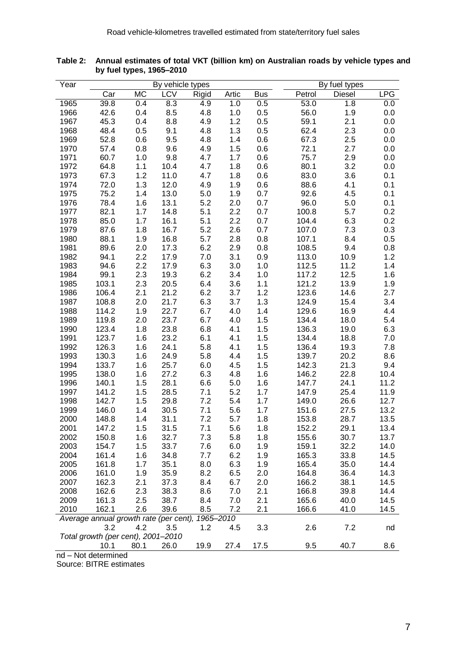| Year                                                                      |                                           |           | By vehicle types |       | By fuel types |            |        |               |              |  |
|---------------------------------------------------------------------------|-------------------------------------------|-----------|------------------|-------|---------------|------------|--------|---------------|--------------|--|
|                                                                           | Car                                       | <b>MC</b> | LCV              | Rigid | Artic         | <b>Bus</b> | Petrol | <b>Diesel</b> | <b>LPG</b>   |  |
| 1965                                                                      | 39.8                                      | 0.4       | 8.3              | 4.9   | 1.0           | 0.5        | 53.0   | 1.8           | 0.0          |  |
| 1966                                                                      | 42.6                                      | 0.4       | 8.5              | 4.8   | 1.0           | 0.5        | 56.0   | 1.9           | 0.0          |  |
| 1967                                                                      | 45.3                                      | 0.4       | 8.8              | 4.9   | 1.2           | 0.5        | 59.1   | 2.1           | 0.0          |  |
| 1968                                                                      | 48.4                                      | 0.5       | 9.1              | 4.8   | 1.3           | 0.5        | 62.4   | 2.3           | 0.0          |  |
| 1969                                                                      | 52.8                                      | 0.6       | 9.5              | 4.8   | 1.4           | 0.6        | 67.3   | 2.5           | 0.0          |  |
| 1970                                                                      | 57.4                                      | 0.8       | 9.6              | 4.9   | 1.5           | 0.6        | 72.1   | 2.7           | 0.0          |  |
| 1971                                                                      | 60.7                                      | 1.0       | 9.8              | 4.7   | 1.7           | 0.6        | 75.7   | 2.9           | 0.0          |  |
| 1972                                                                      | 64.8                                      | 1.1       | 10.4             | 4.7   | 1.8           | 0.6        | 80.1   | 3.2           | 0.0          |  |
| 1973                                                                      | 67.3                                      | 1.2       | 11.0             | 4.7   | 1.8           | 0.6        | 83.0   | 3.6           | 0.1          |  |
| 1974                                                                      | 72.0                                      | 1.3       | 12.0             | 4.9   | 1.9           | 0.6        | 88.6   | 4.1           | 0.1          |  |
| 1975                                                                      | 75.2                                      | 1.4       | 13.0             | 5.0   | 1.9           | 0.7        | 92.6   | 4.5           | 0.1          |  |
| 1976                                                                      | 78.4                                      | 1.6       | 13.1             | 5.2   | 2.0           | 0.7        | 96.0   | 5.0           | 0.1          |  |
| 1977                                                                      | 82.1                                      | 1.7       | 14.8             | 5.1   | 2.2           | 0.7        | 100.8  | 5.7           | 0.2          |  |
| 1978                                                                      | 85.0                                      | 1.7       | 16.1             | 5.1   | 2.2           | 0.7        | 104.4  | 6.3           | 0.2          |  |
| 1979                                                                      | 87.6                                      | 1.8       | 16.7             | 5.2   | 2.6           | 0.7        | 107.0  | 7.3           | 0.3          |  |
| 1980                                                                      | 88.1                                      | 1.9       | 16.8             | 5.7   | 2.8           | 0.8        | 107.1  | 8.4           | 0.5          |  |
| 1981                                                                      | 89.6                                      | 2.0       | 17.3             | 6.2   | 2.9           | 0.8        | 108.5  | 9.4           | 0.8          |  |
| 1982                                                                      | 94.1                                      | 2.2       | 17.9             | 7.0   | 3.1           | 0.9        | 113.0  | 10.9          | 1.2          |  |
| 1983                                                                      | 94.6                                      | 2.2       | 17.9             | 6.3   | 3.0           | 1.0        | 112.5  | 11.2          | 1.4          |  |
| 1984                                                                      | 99.1                                      | 2.3       | 19.3             | 6.2   | 3.4           | 1.0        | 117.2  | 12.5          | 1.6          |  |
| 1985                                                                      | 103.1                                     | 2.3       | 20.5             | 6.4   | 3.6           | 1.1        | 121.2  | 13.9          | 1.9          |  |
| 1986                                                                      | 106.4                                     | 2.1       | 21.2             | 6.2   | 3.7           | 1.2        | 123.6  | 14.6          | 2.7          |  |
| 1987                                                                      | 108.8                                     | 2.0       | 21.7             | 6.3   | 3.7           | 1.3        | 124.9  | 15.4          | 3.4          |  |
| 1988                                                                      | 114.2                                     | 1.9       | 22.7             | 6.7   | 4.0           | 1.4        | 129.6  | 16.9          | 4.4          |  |
| 1989                                                                      | 119.8                                     | 2.0       | 23.7             | 6.7   | 4.0           | 1.5        | 134.4  | 18.0          | 5.4          |  |
| 1990                                                                      | 123.4                                     | 1.8       | 23.8             | 6.8   | 4.1           | 1.5        | 136.3  | 19.0          | 6.3          |  |
| 1991                                                                      | 123.7                                     | 1.6       | 23.2             | 6.1   | 4.1           | 1.5        | 134.4  | 18.8          | 7.0          |  |
| 1992                                                                      | 126.3                                     | 1.6       | 24.1             | 5.8   | 4.1           | 1.5        | 136.4  | 19.3          | 7.8          |  |
| 1993                                                                      | 130.3                                     | 1.6       | 24.9             | 5.8   | 4.4           | 1.5        | 139.7  | 20.2          | 8.6          |  |
| 1994                                                                      | 133.7                                     | 1.6       | 25.7             | 6.0   | 4.5           | 1.5        | 142.3  | 21.3          | 9.4          |  |
| 1995                                                                      | 138.0                                     | 1.6       | 27.2             | 6.3   | 4.8           | 1.6        | 146.2  | 22.8          | 10.4         |  |
| 1996                                                                      | 140.1                                     | 1.5       | 28.1             | 6.6   | 5.0           | 1.6        | 147.7  | 24.1          | 11.2         |  |
| 1997                                                                      | 141.2                                     | 1.5       | 28.5             | 7.1   | 5.2           | 1.7        | 147.9  | 25.4          | 11.9         |  |
| 1998                                                                      | 142.7                                     | 1.5       | 29.8             | 7.2   | 5.4           | 1.7        | 149.0  | 26.6          | 12.7         |  |
| 1999                                                                      | 146.0                                     | 1.4       | 30.5             | 7.1   | 5.6           | 1.7        | 151.6  | 27.5          | 13.2         |  |
| 2000                                                                      | 148.8                                     | 1.4       | 31.1             | 7.2   | 5.7           | 1.8        | 153.8  | 28.7          | 13.5         |  |
| 2001                                                                      | 147.2                                     | 1.5       | 31.5             | 7.1   | 5.6           | 1.8        | 152.2  | 29.1          | 13.4         |  |
| 2002                                                                      | 150.8                                     | 1.6       | 32.7             | 7.3   | 5.8           | 1.8        | 155.6  | 30.7          | 13.7         |  |
| 2003                                                                      | 154.7                                     | 1.5       | 33.7             | 7.6   | 6.0           | 1.9        | 159.1  | 32.2          | 14.0         |  |
| 2004                                                                      | 161.4                                     | 1.6       | 34.8             | 7.7   | 6.2           | 1.9        | 165.3  | 33.8          | 14.5         |  |
| 2005                                                                      | 161.8                                     | 1.7       | 35.1             | 8.0   | 6.3           | 1.9        | 165.4  | 35.0          | 14.4         |  |
| 2006                                                                      | 161.0                                     | 1.9       | 35.9             | 8.2   | 6.5           | 2.0        | 164.8  | 36.4          | 14.3         |  |
| 2007                                                                      | 162.3                                     | 2.1       | 37.3             | 8.4   | 6.7           | 2.0        | 166.2  | 38.1          | 14.5<br>14.4 |  |
| 2008                                                                      | 162.6                                     | 2.3       | 38.3             | 8.6   | 7.0           | 2.1        | 166.8  | 39.8          |              |  |
| 2009                                                                      | 161.3                                     | 2.5       | 38.7             | 8.4   | 7.0           | 2.1        | 165.6  | 40.0          | 14.5         |  |
| 2010                                                                      | 162.1                                     | 2.6       | 39.6             | 8.5   | 7.2           | 2.1        | 166.6  | 41.0          | 14.5         |  |
| Average annual growth rate (per cent),<br>1965-2010                       |                                           |           |                  |       |               |            |        |               |              |  |
|                                                                           | 3.2<br>Total growth (per cent), 2001-2010 | 4.2       | 3.5              | 1.2   | 4.5           | 3.3        | 2.6    | 7.2           | nd           |  |
|                                                                           |                                           |           |                  |       |               | 17.5       |        | 40.7          |              |  |
| 19.9<br>8.6<br>80.1<br>26.0<br>27.4<br>9.5<br>10.1<br>nd – Not determined |                                           |           |                  |       |               |            |        |               |              |  |

**Table 2: Annual estimates of total VKT (billion km) on Australian roads by vehicle types and by fuel types, 1965–2010**

nd – Not determined

Source: BITRE estimates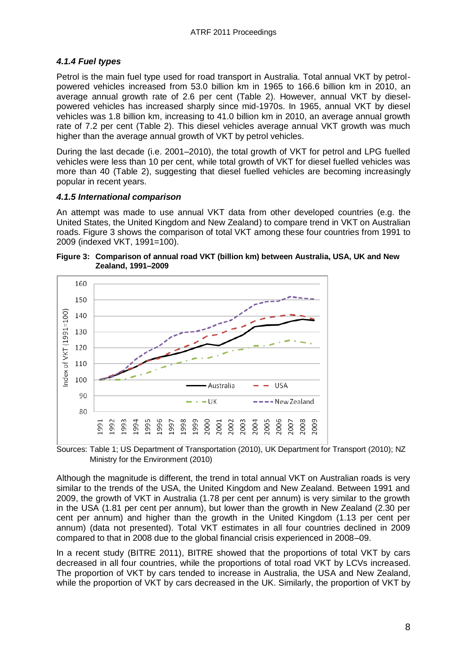### *4.1.4 Fuel types*

Petrol is the main fuel type used for road transport in Australia. Total annual VKT by petrolpowered vehicles increased from 53.0 billion km in 1965 to 166.6 billion km in 2010, an average annual growth rate of 2.6 per cent (Table 2). However, annual VKT by dieselpowered vehicles has increased sharply since mid-1970s. In 1965, annual VKT by diesel vehicles was 1.8 billion km, increasing to 41.0 billion km in 2010, an average annual growth rate of 7.2 per cent (Table 2). This diesel vehicles average annual VKT growth was much higher than the average annual growth of VKT by petrol vehicles.

During the last decade (i.e. 2001–2010), the total growth of VKT for petrol and LPG fuelled vehicles were less than 10 per cent, while total growth of VKT for diesel fuelled vehicles was more than 40 (Table 2), suggesting that diesel fuelled vehicles are becoming increasingly popular in recent years.

#### *4.1.5 International comparison*

An attempt was made to use annual VKT data from other developed countries (e.g. the United States, the United Kingdom and New Zealand) to compare trend in VKT on Australian roads. Figure 3 shows the comparison of total VKT among these four countries from 1991 to 2009 (indexed VKT, 1991=100).





Sources: Table 1; US Department of Transportation (2010), UK Department for Transport (2010); NZ Ministry for the Environment (2010)

Although the magnitude is different, the trend in total annual VKT on Australian roads is very similar to the trends of the USA, the United Kingdom and New Zealand. Between 1991 and 2009, the growth of VKT in Australia (1.78 per cent per annum) is very similar to the growth in the USA (1.81 per cent per annum), but lower than the growth in New Zealand (2.30 per cent per annum) and higher than the growth in the United Kingdom (1.13 per cent per annum) (data not presented). Total VKT estimates in all four countries declined in 2009 compared to that in 2008 due to the global financial crisis experienced in 2008–09.

In a recent study (BITRE 2011), BITRE showed that the proportions of total VKT by cars decreased in all four countries, while the proportions of total road VKT by LCVs increased. The proportion of VKT by cars tended to increase in Australia, the USA and New Zealand, while the proportion of VKT by cars decreased in the UK. Similarly, the proportion of VKT by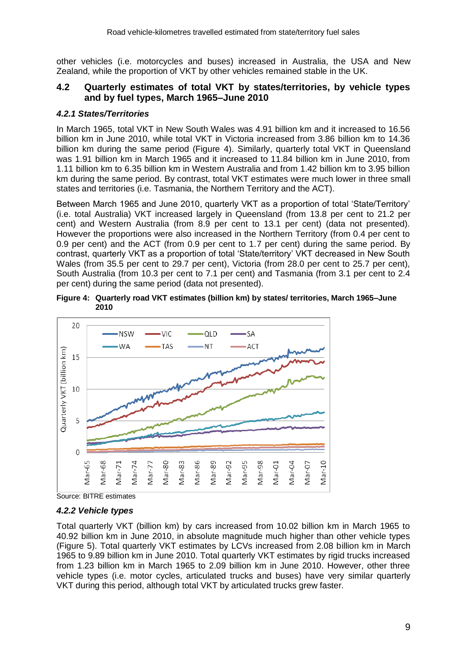other vehicles (i.e. motorcycles and buses) increased in Australia, the USA and New Zealand, while the proportion of VKT by other vehicles remained stable in the UK.

### **4.2 Quarterly estimates of total VKT by states/territories, by vehicle types and by fuel types, March 1965–June 2010**

# *4.2.1 States/Territories*

In March 1965, total VKT in New South Wales was 4.91 billion km and it increased to 16.56 billion km in June 2010, while total VKT in Victoria increased from 3.86 billion km to 14.36 billion km during the same period (Figure 4). Similarly, quarterly total VKT in Queensland was 1.91 billion km in March 1965 and it increased to 11.84 billion km in June 2010, from 1.11 billion km to 6.35 billion km in Western Australia and from 1.42 billion km to 3.95 billion km during the same period. By contrast, total VKT estimates were much lower in three small states and territories (i.e. Tasmania, the Northern Territory and the ACT).

Between March 1965 and June 2010, quarterly VKT as a proportion of total 'State/Territory' (i.e. total Australia) VKT increased largely in Queensland (from 13.8 per cent to 21.2 per cent) and Western Australia (from 8.9 per cent to 13.1 per cent) (data not presented). However the proportions were also increased in the Northern Territory (from 0.4 per cent to 0.9 per cent) and the ACT (from 0.9 per cent to 1.7 per cent) during the same period. By contrast, quarterly VKT as a proportion of total 'State/territory' VKT decreased in New South Wales (from 35.5 per cent to 29.7 per cent), Victoria (from 28.0 per cent to 25.7 per cent), South Australia (from 10.3 per cent to 7.1 per cent) and Tasmania (from 3.1 per cent to 2.4 per cent) during the same period (data not presented).

**Figure 4: Quarterly road VKT estimates (billion km) by states/ territories, March 1965–June 2010**



Source: BITRE estimates

# *4.2.2 Vehicle types*

Total quarterly VKT (billion km) by cars increased from 10.02 billion km in March 1965 to 40.92 billion km in June 2010, in absolute magnitude much higher than other vehicle types (Figure 5). Total quarterly VKT estimates by LCVs increased from 2.08 billion km in March 1965 to 9.89 billion km in June 2010. Total quarterly VKT estimates by rigid trucks increased from 1.23 billion km in March 1965 to 2.09 billion km in June 2010. However, other three vehicle types (i.e. motor cycles, articulated trucks and buses) have very similar quarterly VKT during this period, although total VKT by articulated trucks grew faster.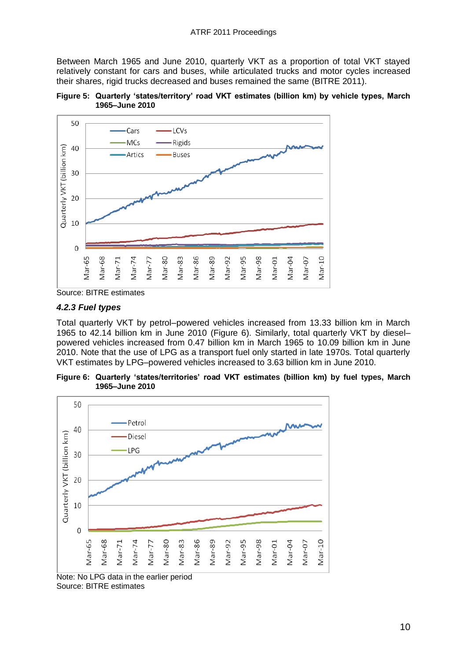Between March 1965 and June 2010, quarterly VKT as a proportion of total VKT stayed relatively constant for cars and buses, while articulated trucks and motor cycles increased their shares, rigid trucks decreased and buses remained the same (BITRE 2011).





Source: BITRE estimates

#### *4.2.3 Fuel types*

Total quarterly VKT by petrol–powered vehicles increased from 13.33 billion km in March 1965 to 42.14 billion km in June 2010 (Figure 6). Similarly, total quarterly VKT by diesel– powered vehicles increased from 0.47 billion km in March 1965 to 10.09 billion km in June 2010. Note that the use of LPG as a transport fuel only started in late 1970s. Total quarterly VKT estimates by LPG–powered vehicles increased to 3.63 billion km in June 2010.

**Figure 6: Quarterly 'states/territories' road VKT estimates (billion km) by fuel types, March 1965–June 2010**



Note: No LPG data in the earlier period Source: BITRE estimates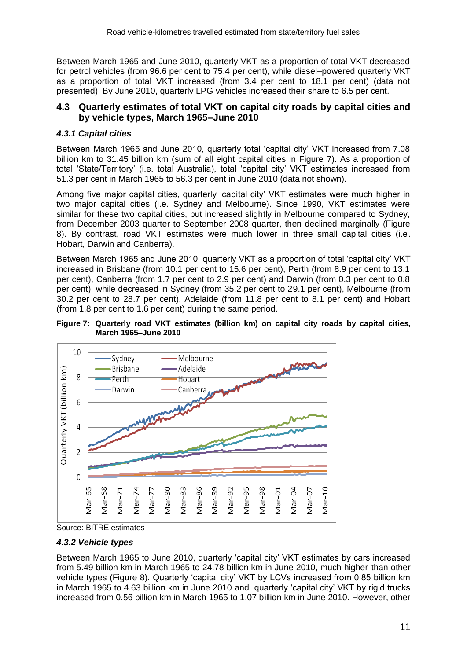Between March 1965 and June 2010, quarterly VKT as a proportion of total VKT decreased for petrol vehicles (from 96.6 per cent to 75.4 per cent), while diesel–powered quarterly VKT as a proportion of total VKT increased (from 3.4 per cent to 18.1 per cent) (data not presented). By June 2010, quarterly LPG vehicles increased their share to 6.5 per cent.

# **4.3 Quarterly estimates of total VKT on capital city roads by capital cities and by vehicle types, March 1965–June 2010**

# *4.3.1 Capital cities*

Between March 1965 and June 2010, quarterly total 'capital city' VKT increased from 7.08 billion km to 31.45 billion km (sum of all eight capital cities in Figure 7). As a proportion of total 'State/Territory' (i.e. total Australia), total 'capital city' VKT estimates increased from 51.3 per cent in March 1965 to 56.3 per cent in June 2010 (data not shown).

Among five major capital cities, quarterly 'capital city' VKT estimates were much higher in two major capital cities (i.e. Sydney and Melbourne). Since 1990, VKT estimates were similar for these two capital cities, but increased slightly in Melbourne compared to Sydney, from December 2003 quarter to September 2008 quarter, then declined marginally (Figure 8). By contrast, road VKT estimates were much lower in three small capital cities (i.e. Hobart, Darwin and Canberra).

Between March 1965 and June 2010, quarterly VKT as a proportion of total 'capital city' VKT increased in Brisbane (from 10.1 per cent to 15.6 per cent), Perth (from 8.9 per cent to 13.1 per cent), Canberra (from 1.7 per cent to 2.9 per cent) and Darwin (from 0.3 per cent to 0.8 per cent), while decreased in Sydney (from 35.2 per cent to 29.1 per cent), Melbourne (from 30.2 per cent to 28.7 per cent), Adelaide (from 11.8 per cent to 8.1 per cent) and Hobart (from 1.8 per cent to 1.6 per cent) during the same period.







# *4.3.2 Vehicle types*

Between March 1965 to June 2010, quarterly 'capital city' VKT estimates by cars increased from 5.49 billion km in March 1965 to 24.78 billion km in June 2010, much higher than other vehicle types (Figure 8). Quarterly 'capital city' VKT by LCVs increased from 0.85 billion km in March 1965 to 4.63 billion km in June 2010 and quarterly 'capital city' VKT by rigid trucks increased from 0.56 billion km in March 1965 to 1.07 billion km in June 2010. However, other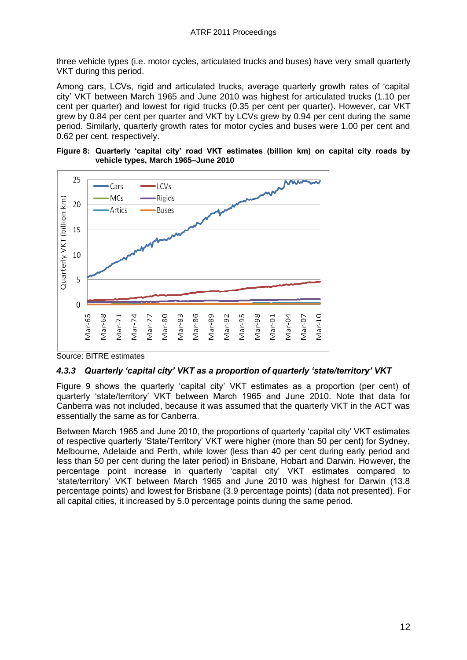three vehicle types (i.e. motor cycles, articulated trucks and buses) have very small quarterly VKT during this period.

Among cars, LCVs, rigid and articulated trucks, average quarterly growth rates of 'capital city' VKT between March 1965 and June 2010 was highest for articulated trucks (1.10 per cent per quarter) and lowest for rigid trucks (0.35 per cent per quarter). However, car VKT grew by 0.84 per cent per quarter and VKT by LCVs grew by 0.94 per cent during the same period. Similarly, quarterly growth rates for motor cycles and buses were 1.00 per cent and 0.62 per cent, respectively.





Source: BITRE estimates

#### *4.3.3 Quarterly 'capital city' VKT as a proportion of quarterly 'state/territory' VKT*

Figure 9 shows the quarterly 'capital city' VKT estimates as a proportion (per cent) of quarterly 'state/territory' VKT between March 1965 and June 2010. Note that data for Canberra was not included, because it was assumed that the quarterly VKT in the ACT was essentially the same as for Canberra.

Between March 1965 and June 2010, the proportions of quarterly 'capital city' VKT estimates of respective quarterly 'State/Territory' VKT were higher (more than 50 per cent) for Sydney, Melbourne, Adelaide and Perth, while lower (less than 40 per cent during early period and less than 50 per cent during the later period) in Brisbane, Hobart and Darwin. However, the percentage point increase in quarterly 'capital city' VKT estimates compared to 'state/territory' VKT between March 1965 and June 2010 was highest for Darwin (13.8 percentage points) and lowest for Brisbane (3.9 percentage points) (data not presented). For all capital cities, it increased by 5.0 percentage points during the same period.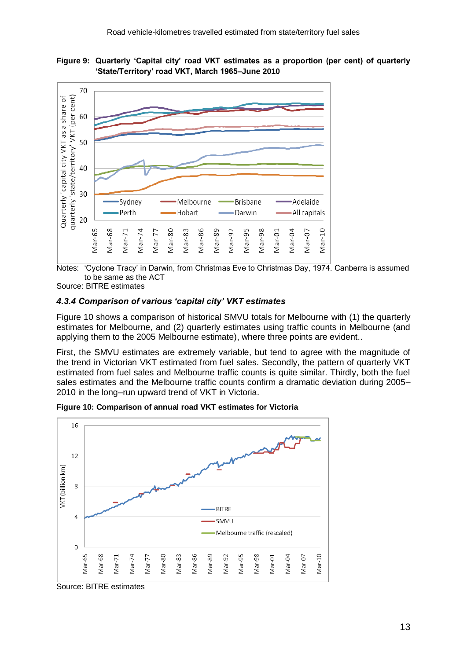



Notes: 'Cyclone Tracy' in Darwin, from Christmas Eve to Christmas Day, 1974. Canberra is assumed to be same as the ACT

Source: BITRE estimates

### *4.3.4 Comparison of various 'capital city' VKT estimates*

Figure 10 shows a comparison of historical SMVU totals for Melbourne with (1) the quarterly estimates for Melbourne, and (2) quarterly estimates using traffic counts in Melbourne (and applying them to the 2005 Melbourne estimate), where three points are evident..

First, the SMVU estimates are extremely variable, but tend to agree with the magnitude of the trend in Victorian VKT estimated from fuel sales. Secondly, the pattern of quarterly VKT estimated from fuel sales and Melbourne traffic counts is quite similar. Thirdly, both the fuel sales estimates and the Melbourne traffic counts confirm a dramatic deviation during 2005– 2010 in the long–run upward trend of VKT in Victoria.





Source: BITRE estimates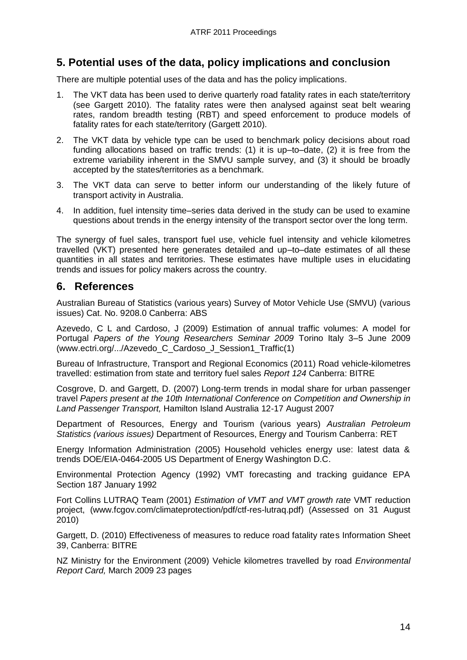# **5. Potential uses of the data, policy implications and conclusion**

There are multiple potential uses of the data and has the policy implications.

- 1. The VKT data has been used to derive quarterly road fatality rates in each state/territory (see Gargett 2010). The fatality rates were then analysed against seat belt wearing rates, random breadth testing (RBT) and speed enforcement to produce models of fatality rates for each state/territory (Gargett 2010).
- 2. The VKT data by vehicle type can be used to benchmark policy decisions about road funding allocations based on traffic trends: (1) it is up–to–date, (2) it is free from the extreme variability inherent in the SMVU sample survey, and (3) it should be broadly accepted by the states/territories as a benchmark.
- 3. The VKT data can serve to better inform our understanding of the likely future of transport activity in Australia.
- 4. In addition, fuel intensity time–series data derived in the study can be used to examine questions about trends in the energy intensity of the transport sector over the long term.

The synergy of fuel sales, transport fuel use, vehicle fuel intensity and vehicle kilometres travelled (VKT) presented here generates detailed and up–to–date estimates of all these quantities in all states and territories. These estimates have multiple uses in elucidating trends and issues for policy makers across the country.

# **6. References**

Australian Bureau of Statistics (various years) Survey of Motor Vehicle Use (SMVU) (various issues) Cat. No. 9208.0 Canberra: ABS

Azevedo, C L and Cardoso, J (2009) Estimation of annual traffic volumes: A model for Portugal *Papers of the Young Researchers Seminar 2009* Torino Italy 3–5 June 2009 (www.ectri.org/.../Azevedo\_C\_Cardoso\_J\_Session1\_Traffic(1)

Bureau of Infrastructure, Transport and Regional Economics (2011) Road vehicle-kilometres travelled: estimation from state and territory fuel sales *Report 124* Canberra: BITRE

Cosgrove, D. and Gargett, D. (2007) Long-term trends in modal share for urban passenger travel *Papers present at the 10th International Conference on Competition and Ownership in Land Passenger Transport,* Hamilton Island Australia 12-17 August 2007

Department of Resources, Energy and Tourism (various years) *Australian Petroleum Statistics (various issues)* Department of Resources, Energy and Tourism Canberra: RET

Energy Information Administration (2005) Household vehicles energy use: latest data & trends DOE/EIA-0464-2005 US Department of Energy Washington D.C.

Environmental Protection Agency (1992) VMT forecasting and tracking guidance EPA Section 187 January 1992

Fort Collins LUTRAQ Team (2001) *Estimation of VMT and VMT growth rate* VMT reduction project, (www.fcgov.com/climateprotection/pdf/ctf-res-lutraq.pdf) (Assessed on 31 August 2010)

Gargett, D. (2010) Effectiveness of measures to reduce road fatality rates Information Sheet 39, Canberra: BITRE

NZ Ministry for the Environment (2009) Vehicle kilometres travelled by road *Environmental Report Card,* March 2009 23 pages